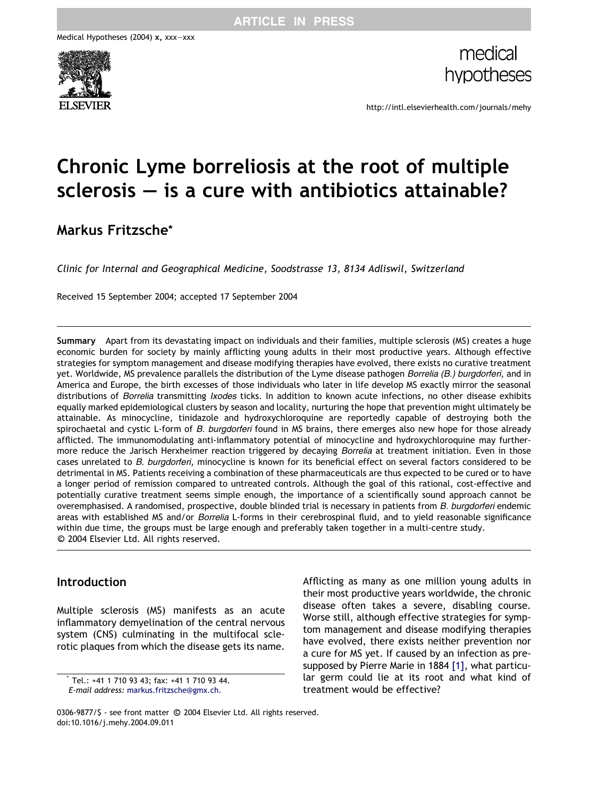Medical Hypotheses (2004) x, xxx–xxx





http://intl.elsevierhealth.com/journals/mehy

# Chronic Lyme borreliosis at the root of multiple sclerosis – is a cure with antibiotics attainable?

# Markus Fritzsche\*

Clinic for Internal and Geographical Medicine, Soodstrasse 13, 8134 Adliswil, Switzerland

Received 15 September 2004; accepted 17 September 2004

Summary Apart from its devastating impact on individuals and their families, multiple sclerosis (MS) creates a huge economic burden for society by mainly afflicting young adults in their most productive years. Although effective strategies for symptom management and disease modifying therapies have evolved, there exists no curative treatment yet. Worldwide, MS prevalence parallels the distribution of the Lyme disease pathogen Borrelia (B.) burgdorferi, and in America and Europe, the birth excesses of those individuals who later in life develop MS exactly mirror the seasonal distributions of Borrelia transmitting Ixodes ticks. In addition to known acute infections, no other disease exhibits equally marked epidemiological clusters by season and locality, nurturing the hope that prevention might ultimately be attainable. As minocycline, tinidazole and hydroxychloroquine are reportedly capable of destroying both the spirochaetal and cystic L-form of B. burgdorferi found in MS brains, there emerges also new hope for those already afflicted. The immunomodulating anti-inflammatory potential of minocycline and hydroxychloroquine may furthermore reduce the Jarisch Herxheimer reaction triggered by decaying *Borrelia* at treatment initiation. Even in those cases unrelated to B. burgdorferi, minocycline is known for its beneficial effect on several factors considered to be detrimental in MS. Patients receiving a combination of these pharmaceuticals are thus expected to be cured or to have a longer period of remission compared to untreated controls. Although the goal of this rational, cost-effective and potentially curative treatment seems simple enough, the importance of a scientifically sound approach cannot be overemphasised. A randomised, prospective, double blinded trial is necessary in patients from B. burgdorferi endemic areas with established MS and/or Borrelia L-forms in their cerebrospinal fluid, and to yield reasonable significance within due time, the groups must be large enough and preferably taken together in a multi-centre study. <sup>c</sup> 2004 Elsevier Ltd. All rights reserved.

# Introduction

Multiple sclerosis (MS) manifests as an acute inflammatory demyelination of the central nervous system (CNS) culminating in the multifocal sclerotic plaques from which the disease gets its name.

Tel.: +41 1 710 93 43: fax: +41 1 710 93 44. E-mail address: [markus.fritzsche@gmx.ch.](mailto:markus.fritzsche@gmx.ch.)

Afflicting as many as one million young adults in their most productive years worldwide, the chronic disease often takes a severe, disabling course. Worse still, although effective strategies for symptom management and disease modifying therapies have evolved, there exists neither prevention nor a cure for MS yet. If caused by an infection as presupposed by Pierre Marie in 1884 [\[1\]](#page-9-0), what particular germ could lie at its root and what kind of treatment would be effective?

<sup>0306-9877/\$ -</sup> see front matter © 2004 Elsevier Ltd. All rights reserved. doi:10.1016/j.mehy.2004.09.011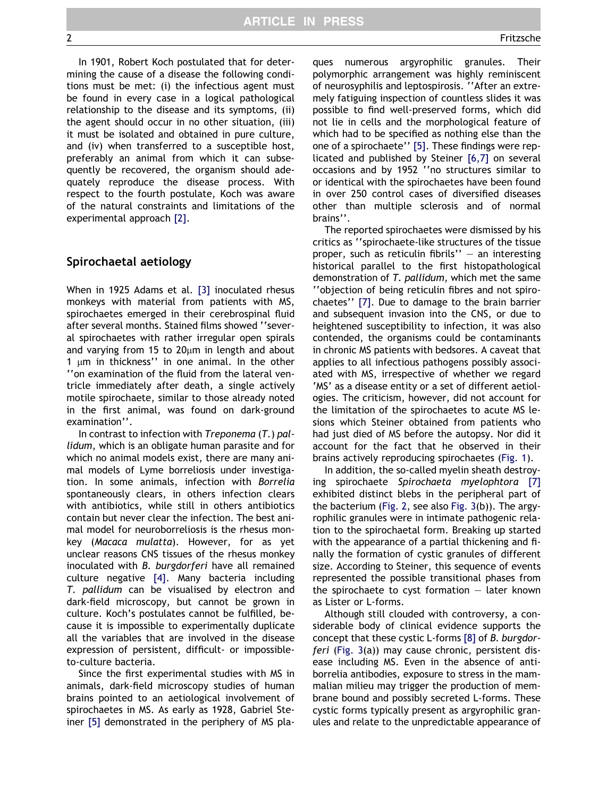In 1901, Robert Koch postulated that for determining the cause of a disease the following conditions must be met: (i) the infectious agent must be found in every case in a logical pathological relationship to the disease and its symptoms, (ii) the agent should occur in no other situation, (iii) it must be isolated and obtained in pure culture, and (iv) when transferred to a susceptible host, preferably an animal from which it can subsequently be recovered, the organism should adequately reproduce the disease process. With respect to the fourth postulate, Koch was aware of the natural constraints and limitations of the experimental approach [\[2\].](#page-9-0)

#### Spirochaetal aetiology

When in 1925 Adams et al. [\[3\]](#page-9-0) inoculated rhesus monkeys with material from patients with MS, spirochaetes emerged in their cerebrospinal fluid after several months. Stained films showed ''several spirochaetes with rather irregular open spirals and varying from 15 to  $20\mu m$  in length and about 1  $\mu$ m in thickness'' in one animal. In the other ''on examination of the fluid from the lateral ventricle immediately after death, a single actively motile spirochaete, similar to those already noted in the first animal, was found on dark-ground examination''.

In contrast to infection with Treponema  $(T.)$  pallidum, which is an obligate human parasite and for which no animal models exist, there are many animal models of Lyme borreliosis under investigation. In some animals, infection with Borrelia spontaneously clears, in others infection clears with antibiotics, while still in others antibiotics contain but never clear the infection. The best animal model for neuroborreliosis is the rhesus monkey (Macaca mulatta). However, for as yet unclear reasons CNS tissues of the rhesus monkey inoculated with B. burgdorferi have all remained culture negative [\[4\]](#page-9-0). Many bacteria including T. pallidum can be visualised by electron and dark-field microscopy, but cannot be grown in culture. Koch's postulates cannot be fulfilled, because it is impossible to experimentally duplicate all the variables that are involved in the disease expression of persistent, difficult- or impossibleto-culture bacteria.

Since the first experimental studies with MS in animals, dark-field microscopy studies of human brains pointed to an aetiological involvement of spirochaetes in MS. As early as 1928, Gabriel Steiner [\[5\]](#page-9-0) demonstrated in the periphery of MS plaques numerous argyrophilic granules. Their polymorphic arrangement was highly reminiscent of neurosyphilis and leptospirosis. ''After an extremely fatiguing inspection of countless slides it was possible to find well-preserved forms, which did not lie in cells and the morphological feature of which had to be specified as nothing else than the one of a spirochaete'' [\[5\]](#page-9-0). These findings were replicated and published by Steiner [\[6,7\]](#page-9-0) on several occasions and by 1952 ''no structures similar to or identical with the spirochaetes have been found in over 250 control cases of diversified diseases other than multiple sclerosis and of normal brains''.

The reported spirochaetes were dismissed by his critics as ''spirochaete-like structures of the tissue proper, such as reticulin fibrils''  $-$  an interesting historical parallel to the first histopathological demonstration of T. pallidum, which met the same ''objection of being reticulin fibres and not spirochaetes'' [\[7\]](#page-9-0). Due to damage to the brain barrier and subsequent invasion into the CNS, or due to heightened susceptibility to infection, it was also contended, the organisms could be contaminants in chronic MS patients with bedsores. A caveat that applies to all infectious pathogens possibly associated with MS, irrespective of whether we regard 'MS' as a disease entity or a set of different aetiologies. The criticism, however, did not account for the limitation of the spirochaetes to acute MS lesions which Steiner obtained from patients who had just died of MS before the autopsy. Nor did it account for the fact that he observed in their brains actively reproducing spirochaetes [\(Fig. 1\)](#page-2-0).

In addition, the so-called myelin sheath destroying spirochaete Spirochaeta myelophtora [\[7\]](#page-9-0) exhibited distinct blebs in the peripheral part of the bacterium ([Fig. 2](#page-2-0), see also [Fig. 3\(](#page-2-0)b)). The argyrophilic granules were in intimate pathogenic relation to the spirochaetal form. Breaking up started with the appearance of a partial thickening and finally the formation of cystic granules of different size. According to Steiner, this sequence of events represented the possible transitional phases from the spirochaete to cyst formation  $-$  later known as Lister or L-forms.

Although still clouded with controversy, a considerable body of clinical evidence supports the concept that these cystic L-forms [\[8\]](#page-9-0) of B. burgdorferi ([Fig. 3\(](#page-2-0)a)) may cause chronic, persistent disease including MS. Even in the absence of antiborrelia antibodies, exposure to stress in the mammalian milieu may trigger the production of membrane bound and possibly secreted L-forms. These cystic forms typically present as argyrophilic granules and relate to the unpredictable appearance of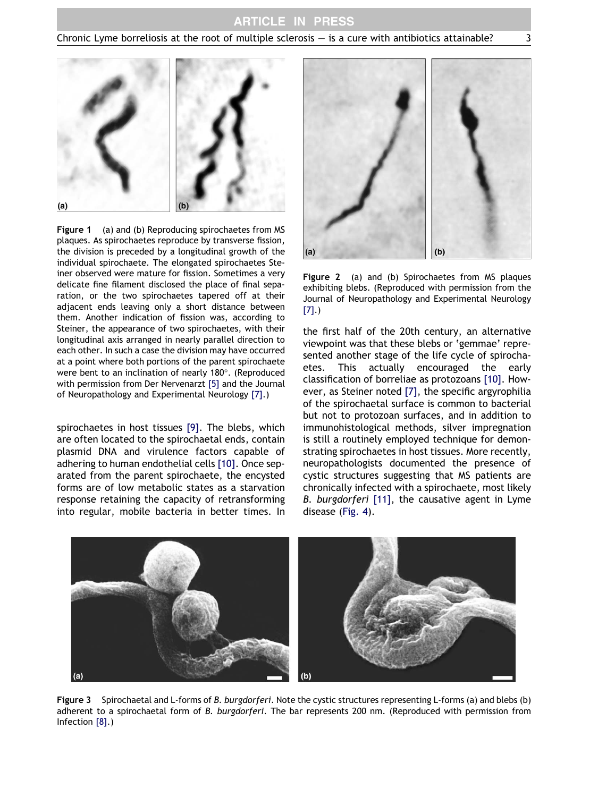<span id="page-2-0"></span>

Figure 1 (a) and (b) Reproducing spirochaetes from MS plaques. As spirochaetes reproduce by transverse fission, the division is preceded by a longitudinal growth of the individual spirochaete. The elongated spirochaetes Steiner observed were mature for fission. Sometimes a very delicate fine filament disclosed the place of final separation, or the two spirochaetes tapered off at their adjacent ends leaving only a short distance between them. Another indication of fission was, according to Steiner, the appearance of two spirochaetes, with their longitudinal axis arranged in nearly parallel direction to each other. In such a case the division may have occurred at a point where both portions of the parent spirochaete were bent to an inclination of nearly 180°. (Reproduced with permission from Der Nervenarzt [\[5\]](#page-9-0) and the Journal of Neuropathology and Experimental Neurology [\[7\].](#page-9-0))

spirochaetes in host tissues [\[9\]](#page-9-0). The blebs, which are often located to the spirochaetal ends, contain plasmid DNA and virulence factors capable of adhering to human endothelial cells [\[10\]](#page-9-0). Once separated from the parent spirochaete, the encysted forms are of low metabolic states as a starvation response retaining the capacity of retransforming into regular, mobile bacteria in better times. In



Figure 2 (a) and (b) Spirochaetes from MS plaques exhibiting blebs. (Reproduced with permission from the Journal of Neuropathology and Experimental Neurology [\[7\]](#page-9-0).)

the first half of the 20th century, an alternative viewpoint was that these blebs or 'gemmae' represented another stage of the life cycle of spirochaetes. This actually encouraged the early classification of borreliae as protozoans [\[10\]](#page-9-0). However, as Steiner noted [\[7\],](#page-9-0) the specific argyrophilia of the spirochaetal surface is common to bacterial but not to protozoan surfaces, and in addition to immunohistological methods, silver impregnation is still a routinely employed technique for demonstrating spirochaetes in host tissues. More recently, neuropathologists documented the presence of cystic structures suggesting that MS patients are chronically infected with a spirochaete, most likely B. burgdorferi [\[11\]](#page-9-0), the causative agent in Lyme disease [\(Fig. 4](#page-3-0)).



Figure 3 Spirochaetal and L-forms of B. burgdorferi. Note the cystic structures representing L-forms (a) and blebs (b) adherent to a spirochaetal form of B. burgdorferi. The bar represents 200 nm. (Reproduced with permission from Infection [\[8\].](#page-9-0))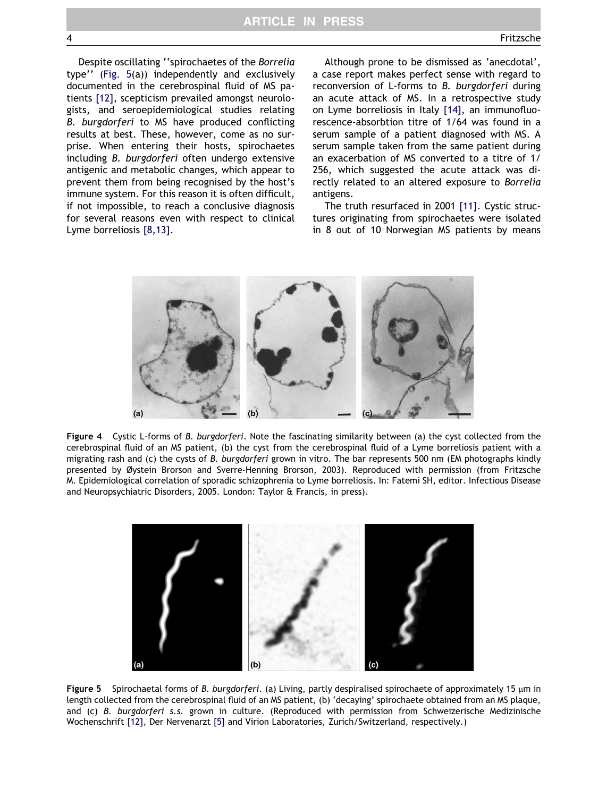<span id="page-3-0"></span>Despite oscillating ''spirochaetes of the Borrelia type'' (Fig. 5(a)) independently and exclusively documented in the cerebrospinal fluid of MS patients [\[12\]](#page-9-0), scepticism prevailed amongst neurologists, and seroepidemiological studies relating B. burgdorferi to MS have produced conflicting results at best. These, however, come as no surprise. When entering their hosts, spirochaetes including B. burgdorferi often undergo extensive antigenic and metabolic changes, which appear to prevent them from being recognised by the host's immune system. For this reason it is often difficult, if not impossible, to reach a conclusive diagnosis for several reasons even with respect to clinical Lyme borreliosis [\[8,13\]](#page-9-0).

Although prone to be dismissed as 'anecdotal', a case report makes perfect sense with regard to reconversion of L-forms to B. burgdorferi during an acute attack of MS. In a retrospective study on Lyme borreliosis in Italy [\[14\]](#page-9-0), an immunofluorescence-absorbtion titre of 1/64 was found in a serum sample of a patient diagnosed with MS. A serum sample taken from the same patient during an exacerbation of MS converted to a titre of 1/ 256, which suggested the acute attack was directly related to an altered exposure to Borrelia antigens.

The truth resurfaced in 2001 [\[11\]](#page-9-0). Cystic structures originating from spirochaetes were isolated in 8 out of 10 Norwegian MS patients by means



Figure 4 Cystic L-forms of B. burgdorferi. Note the fascinating similarity between (a) the cyst collected from the cerebrospinal fluid of an MS patient, (b) the cyst from the cerebrospinal fluid of a Lyme borreliosis patient with a migrating rash and (c) the cysts of B. burgdorferi grown in vitro. The bar represents 500 nm (EM photographs kindly presented by Øystein Brorson and Sverre-Henning Brorson, 2003). Reproduced with permission (from Fritzsche M. Epidemiological correlation of sporadic schizophrenia to Lyme borreliosis. In: Fatemi SH, editor. Infectious Disease and Neuropsychiatric Disorders, 2005. London: Taylor & Francis, in press).



Figure 5 Spirochaetal forms of B. burgdorferi. (a) Living, partly despiralised spirochaete of approximately 15  $\mu$ m in length collected from the cerebrospinal fluid of an MS patient, (b) 'decaying' spirochaete obtained from an MS plaque, and (c) B. burgdorferi s.s. grown in culture. (Reproduced with permission from Schweizerische Medizinische Wochenschrift [\[12\],](#page-9-0) Der Nervenarzt [\[5\]](#page-9-0) and Virion Laboratories, Zurich/Switzerland, respectively.)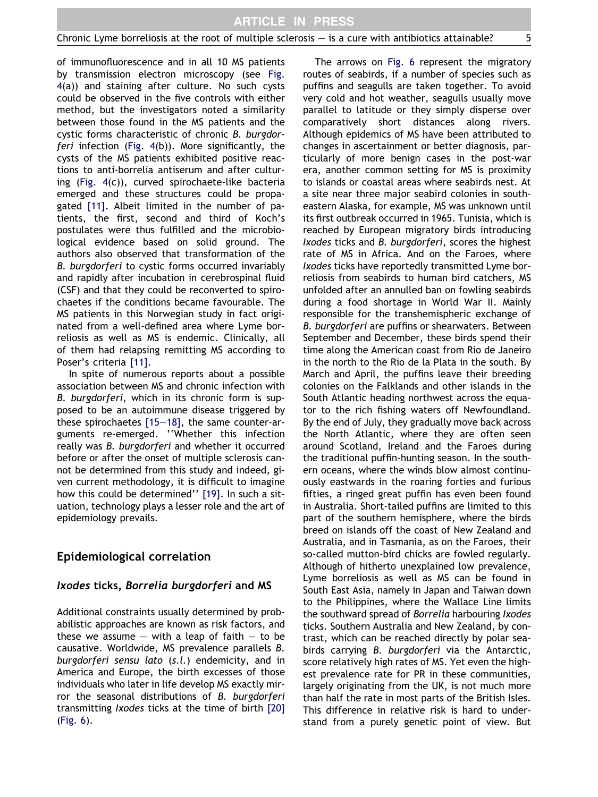of immunofluorescence and in all 10 MS patients by transmission electron microscopy (see [Fig.](#page-3-0) [4\(](#page-3-0)a)) and staining after culture. No such cysts could be observed in the five controls with either method, but the investigators noted a similarity between those found in the MS patients and the cystic forms characteristic of chronic B. burgdorferi infection [\(Fig. 4](#page-3-0)(b)). More significantly, the cysts of the MS patients exhibited positive reactions to anti-borrelia antiserum and after culturing ([Fig. 4](#page-3-0)(c)), curved spirochaete-like bacteria emerged and these structures could be propagated [\[11\].](#page-9-0) Albeit limited in the number of patients, the first, second and third of Koch's postulates were thus fulfilled and the microbiological evidence based on solid ground. The authors also observed that transformation of the B. burgdorferi to cystic forms occurred invariably and rapidly after incubation in cerebrospinal fluid (CSF) and that they could be reconverted to spirochaetes if the conditions became favourable. The MS patients in this Norwegian study in fact originated from a well-defined area where Lyme borreliosis as well as MS is endemic. Clinically, all of them had relapsing remitting MS according to Poser's criteria [\[11\]](#page-9-0).

In spite of numerous reports about a possible association between MS and chronic infection with B. burgdorferi, which in its chronic form is supposed to be an autoimmune disease triggered by these spirochaetes [\[15–18\]](#page-9-0), the same counter-arguments re-emerged. ''Whether this infection really was B. burgdorferi and whether it occurred before or after the onset of multiple sclerosis cannot be determined from this study and indeed, given current methodology, it is difficult to imagine how this could be determined'' [\[19\]](#page-9-0). In such a situation, technology plays a lesser role and the art of epidemiology prevails.

# Epidemiological correlation

#### Ixodes ticks, Borrelia burgdorferi and MS

Additional constraints usually determined by probabilistic approaches are known as risk factors, and these we assume  $-$  with a leap of faith  $-$  to be causative. Worldwide, MS prevalence parallels B. burgdorferi sensu lato (s.l.) endemicity, and in America and Europe, the birth excesses of those individuals who later in life develop MS exactly mirror the seasonal distributions of B. burgdorferi transmitting Ixodes ticks at the time of birth [\[20\]](#page-9-0) [\(Fig. 6](#page-5-0)).

The arrows on [Fig. 6](#page-5-0) represent the migratory routes of seabirds, if a number of species such as puffins and seagulls are taken together. To avoid very cold and hot weather, seagulls usually move parallel to latitude or they simply disperse over comparatively short distances along rivers. Although epidemics of MS have been attributed to changes in ascertainment or better diagnosis, particularly of more benign cases in the post-war era, another common setting for MS is proximity to islands or coastal areas where seabirds nest. At a site near three major seabird colonies in southeastern Alaska, for example, MS was unknown until its first outbreak occurred in 1965. Tunisia, which is reached by European migratory birds introducing Ixodes ticks and B. burgdorferi, scores the highest rate of MS in Africa. And on the Faroes, where Ixodes ticks have reportedly transmitted Lyme borreliosis from seabirds to human bird catchers, MS unfolded after an annulled ban on fowling seabirds during a food shortage in World War II. Mainly responsible for the transhemispheric exchange of B. burgdorferi are puffins or shearwaters. Between September and December, these birds spend their time along the American coast from Rio de Janeiro in the north to the Rio de la Plata in the south. By March and April, the puffins leave their breeding colonies on the Falklands and other islands in the South Atlantic heading northwest across the equator to the rich fishing waters off Newfoundland. By the end of July, they gradually move back across the North Atlantic, where they are often seen around Scotland, Ireland and the Faroes during the traditional puffin-hunting season. In the southern oceans, where the winds blow almost continuously eastwards in the roaring forties and furious fifties, a ringed great puffin has even been found in Australia. Short-tailed puffins are limited to this part of the southern hemisphere, where the birds breed on islands off the coast of New Zealand and Australia, and in Tasmania, as on the Faroes, their so-called mutton-bird chicks are fowled regularly. Although of hitherto unexplained low prevalence, Lyme borreliosis as well as MS can be found in South East Asia, namely in Japan and Taiwan down to the Philippines, where the Wallace Line limits the southward spread of Borrelia harbouring Ixodes ticks. Southern Australia and New Zealand, by contrast, which can be reached directly by polar seabirds carrying B. burgdorferi via the Antarctic, score relatively high rates of MS. Yet even the highest prevalence rate for PR in these communities, largely originating from the UK, is not much more than half the rate in most parts of the British Isles. This difference in relative risk is hard to understand from a purely genetic point of view. But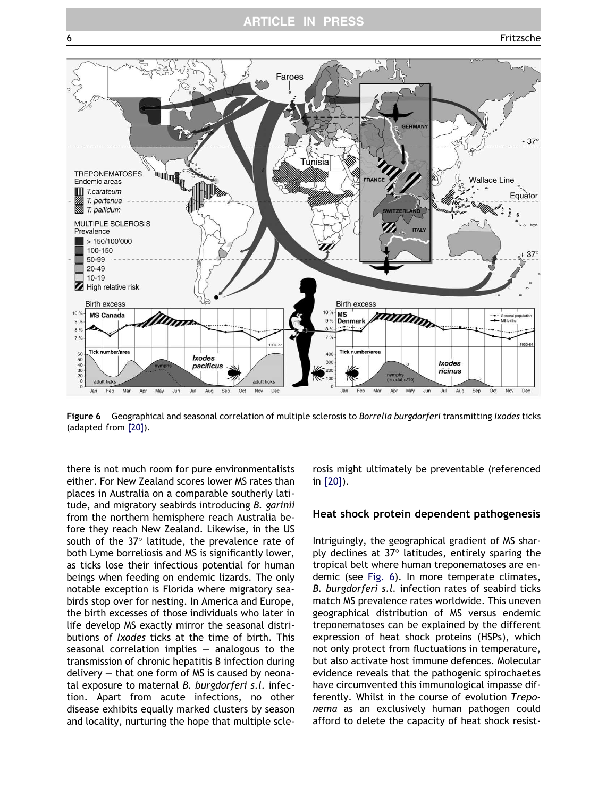<span id="page-5-0"></span>

Figure 6 Geographical and seasonal correlation of multiple sclerosis to Borrelia burgdorferi transmitting Ixodes ticks (adapted from [\[20\]](#page-9-0)).

there is not much room for pure environmentalists either. For New Zealand scores lower MS rates than places in Australia on a comparable southerly latitude, and migratory seabirds introducing B. garinii from the northern hemisphere reach Australia before they reach New Zealand. Likewise, in the US south of the  $37^\circ$  latitude, the prevalence rate of both Lyme borreliosis and MS is significantly lower, as ticks lose their infectious potential for human beings when feeding on endemic lizards. The only notable exception is Florida where migratory seabirds stop over for nesting. In America and Europe, the birth excesses of those individuals who later in life develop MS exactly mirror the seasonal distributions of Ixodes ticks at the time of birth. This seasonal correlation implies  $-$  analogous to the transmission of chronic hepatitis B infection during delivery – that one form of MS is caused by neonatal exposure to maternal B. burgdorferi s.l. infection. Apart from acute infections, no other disease exhibits equally marked clusters by season and locality, nurturing the hope that multiple sclerosis might ultimately be preventable (referenced in [\[20\]\)](#page-9-0).

#### Heat shock protein dependent pathogenesis

Intriguingly, the geographical gradient of MS sharply declines at  $37^\circ$  latitudes, entirely sparing the tropical belt where human treponematoses are endemic (see Fig. 6). In more temperate climates, B. burgdorferi s.l. infection rates of seabird ticks match MS prevalence rates worldwide. This uneven geographical distribution of MS versus endemic treponematoses can be explained by the different expression of heat shock proteins (HSPs), which not only protect from fluctuations in temperature, but also activate host immune defences. Molecular evidence reveals that the pathogenic spirochaetes have circumvented this immunological impasse differently. Whilst in the course of evolution Treponema as an exclusively human pathogen could afford to delete the capacity of heat shock resist-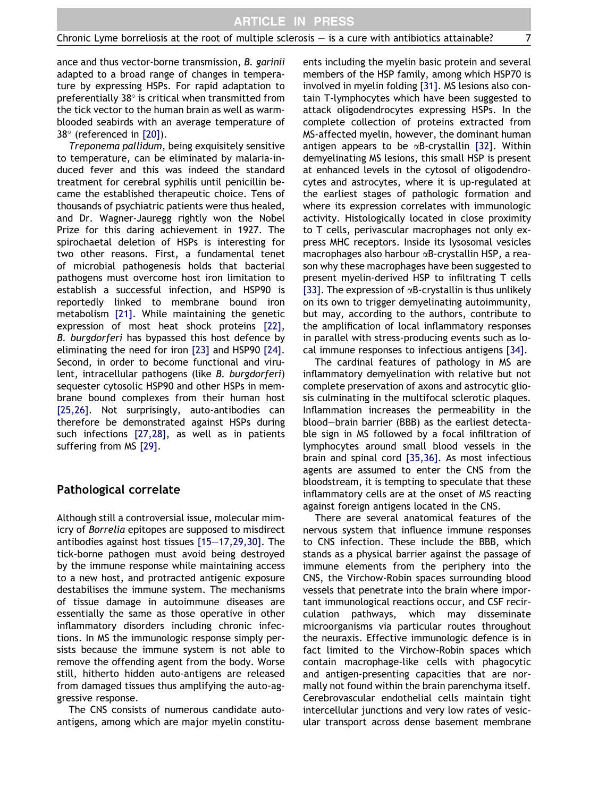ance and thus vector-borne transmission, B. garinii adapted to a broad range of changes in temperature by expressing HSPs. For rapid adaptation to preferentially  $38^\circ$  is critical when transmitted from the tick vector to the human brain as well as warmblooded seabirds with an average temperature of 38° (referenced in [\[20\]\)](#page-9-0).

Treponema pallidum, being exquisitely sensitive to temperature, can be eliminated by malaria-induced fever and this was indeed the standard treatment for cerebral syphilis until penicillin became the established therapeutic choice. Tens of thousands of psychiatric patients were thus healed, and Dr. Wagner-Jauregg rightly won the Nobel Prize for this daring achievement in 1927. The spirochaetal deletion of HSPs is interesting for two other reasons. First, a fundamental tenet of microbial pathogenesis holds that bacterial pathogens must overcome host iron limitation to establish a successful infection, and HSP90 is reportedly linked to membrane bound iron metabolism [\[21\]](#page-9-0). While maintaining the genetic expression of most heat shock proteins [\[22\]](#page-9-0), B. burgdorferi has bypassed this host defence by eliminating the need for iron [\[23\]](#page-9-0) and HSP90 [\[24\]](#page-9-0). Second, in order to become functional and virulent, intracellular pathogens (like B. burgdorferi) sequester cytosolic HSP90 and other HSPs in membrane bound complexes from their human host [\[25,26\]](#page-9-0). Not surprisingly, auto-antibodies can therefore be demonstrated against HSPs during such infections [\[27,28\]](#page-9-0), as well as in patients suffering from MS [\[29\].](#page-9-0)

#### Pathological correlate

Although still a controversial issue, molecular mimicry of Borrelia epitopes are supposed to misdirect antibodies against host tissues [\[15–17,29,30\]](#page-9-0). The tick-borne pathogen must avoid being destroyed by the immune response while maintaining access to a new host, and protracted antigenic exposure destabilises the immune system. The mechanisms of tissue damage in autoimmune diseases are essentially the same as those operative in other inflammatory disorders including chronic infections. In MS the immunologic response simply persists because the immune system is not able to remove the offending agent from the body. Worse still, hitherto hidden auto-antigens are released from damaged tissues thus amplifying the auto-aggressive response.

The CNS consists of numerous candidate autoantigens, among which are major myelin constituents including the myelin basic protein and several members of the HSP family, among which HSP70 is involved in myelin folding [\[31\].](#page-9-0) MS lesions also contain T-lymphocytes which have been suggested to attack oligodendrocytes expressing HSPs. In the complete collection of proteins extracted from MS-affected myelin, however, the dominant human antigen appears to be  $\alpha$ B-crystallin [\[32\].](#page-9-0) Within demyelinating MS lesions, this small HSP is present at enhanced levels in the cytosol of oligodendrocytes and astrocytes, where it is up-regulated at the earliest stages of pathologic formation and where its expression correlates with immunologic activity. Histologically located in close proximity to T cells, perivascular macrophages not only express MHC receptors. Inside its lysosomal vesicles macrophages also harbour aB-crystallin HSP, a reason why these macrophages have been suggested to present myelin-derived HSP to infiltrating T cells [\[33\]](#page-10-0). The expression of  $\alpha$ B-crystallin is thus unlikely on its own to trigger demyelinating autoimmunity, but may, according to the authors, contribute to the amplification of local inflammatory responses in parallel with stress-producing events such as local immune responses to infectious antigens [\[34\].](#page-10-0)

The cardinal features of pathology in MS are inflammatory demyelination with relative but not complete preservation of axons and astrocytic gliosis culminating in the multifocal sclerotic plaques. Inflammation increases the permeability in the blood–brain barrier (BBB) as the earliest detectable sign in MS followed by a focal infiltration of lymphocytes around small blood vessels in the brain and spinal cord [\[35,36\]](#page-10-0). As most infectious agents are assumed to enter the CNS from the bloodstream, it is tempting to speculate that these inflammatory cells are at the onset of MS reacting against foreign antigens located in the CNS.

There are several anatomical features of the nervous system that influence immune responses to CNS infection. These include the BBB, which stands as a physical barrier against the passage of immune elements from the periphery into the CNS, the Virchow-Robin spaces surrounding blood vessels that penetrate into the brain where important immunological reactions occur, and CSF recirculation pathways, which may disseminate microorganisms via particular routes throughout the neuraxis. Effective immunologic defence is in fact limited to the Virchow-Robin spaces which contain macrophage-like cells with phagocytic and antigen-presenting capacities that are normally not found within the brain parenchyma itself. Cerebrovascular endothelial cells maintain tight intercellular junctions and very low rates of vesicular transport across dense basement membrane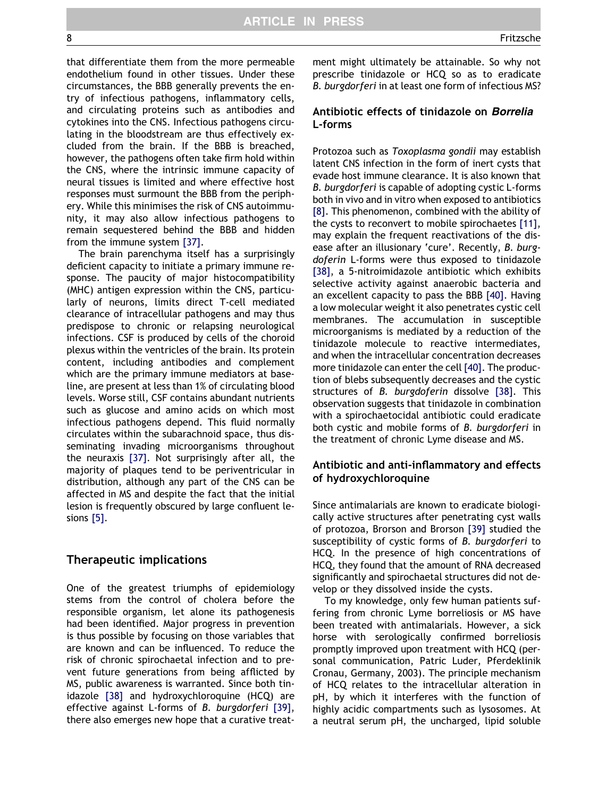that differentiate them from the more permeable endothelium found in other tissues. Under these circumstances, the BBB generally prevents the entry of infectious pathogens, inflammatory cells, and circulating proteins such as antibodies and cytokines into the CNS. Infectious pathogens circulating in the bloodstream are thus effectively excluded from the brain. If the BBB is breached, however, the pathogens often take firm hold within the CNS, where the intrinsic immune capacity of neural tissues is limited and where effective host responses must surmount the BBB from the periphery. While this minimises the risk of CNS autoimmunity, it may also allow infectious pathogens to remain sequestered behind the BBB and hidden from the immune system [\[37\].](#page-10-0)

The brain parenchyma itself has a surprisingly deficient capacity to initiate a primary immune response. The paucity of major histocompatibility (MHC) antigen expression within the CNS, particularly of neurons, limits direct T-cell mediated clearance of intracellular pathogens and may thus predispose to chronic or relapsing neurological infections. CSF is produced by cells of the choroid plexus within the ventricles of the brain. Its protein content, including antibodies and complement which are the primary immune mediators at baseline, are present at less than 1% of circulating blood levels. Worse still, CSF contains abundant nutrients such as glucose and amino acids on which most infectious pathogens depend. This fluid normally circulates within the subarachnoid space, thus disseminating invading microorganisms throughout the neuraxis [\[37\]](#page-10-0). Not surprisingly after all, the majority of plaques tend to be periventricular in distribution, although any part of the CNS can be affected in MS and despite the fact that the initial lesion is frequently obscured by large confluent lesions [\[5\].](#page-9-0)

#### Therapeutic implications

One of the greatest triumphs of epidemiology stems from the control of cholera before the responsible organism, let alone its pathogenesis had been identified. Major progress in prevention is thus possible by focusing on those variables that are known and can be influenced. To reduce the risk of chronic spirochaetal infection and to prevent future generations from being afflicted by MS, public awareness is warranted. Since both tinidazole [\[38\]](#page-10-0) and hydroxychloroquine (HCQ) are effective against L-forms of B. burgdorferi [\[39\],](#page-10-0) there also emerges new hope that a curative treatment might ultimately be attainable. So why not prescribe tinidazole or HCQ so as to eradicate B. burgdorferi in at least one form of infectious MS?

# Antibiotic effects of tinidazole on Borrelia L-forms

Protozoa such as Toxoplasma gondii may establish latent CNS infection in the form of inert cysts that evade host immune clearance. It is also known that B. burgdorferi is capable of adopting cystic L-forms both in vivo and in vitro when exposed to antibiotics [\[8\].](#page-9-0) This phenomenon, combined with the ability of the cysts to reconvert to mobile spirochaetes [\[11\],](#page-9-0) may explain the frequent reactivations of the disease after an illusionary 'cure'. Recently, B. burgdoferin L-forms were thus exposed to tinidazole [\[38\]](#page-10-0), a 5-nitroimidazole antibiotic which exhibits selective activity against anaerobic bacteria and an excellent capacity to pass the BBB [\[40\].](#page-10-0) Having a low molecular weight it also penetrates cystic cell membranes. The accumulation in susceptible microorganisms is mediated by a reduction of the tinidazole molecule to reactive intermediates, and when the intracellular concentration decreases more tinidazole can enter the cell [\[40\].](#page-10-0) The production of blebs subsequently decreases and the cystic structures of B. burgdoferin dissolve [\[38\].](#page-10-0) This observation suggests that tinidazole in combination with a spirochaetocidal antibiotic could eradicate both cystic and mobile forms of B. burgdorferi in the treatment of chronic Lyme disease and MS.

# Antibiotic and anti-inflammatory and effects of hydroxychloroquine

Since antimalarials are known to eradicate biologically active structures after penetrating cyst walls of protozoa, Brorson and Brorson [\[39\]](#page-10-0) studied the susceptibility of cystic forms of B. burgdorferi to HCQ. In the presence of high concentrations of HCQ, they found that the amount of RNA decreased significantly and spirochaetal structures did not develop or they dissolved inside the cysts.

To my knowledge, only few human patients suffering from chronic Lyme borreliosis or MS have been treated with antimalarials. However, a sick horse with serologically confirmed borreliosis promptly improved upon treatment with HCQ (personal communication, Patric Luder, Pferdeklinik Cronau, Germany, 2003). The principle mechanism of HCQ relates to the intracellular alteration in pH, by which it interferes with the function of highly acidic compartments such as lysosomes. At a neutral serum pH, the uncharged, lipid soluble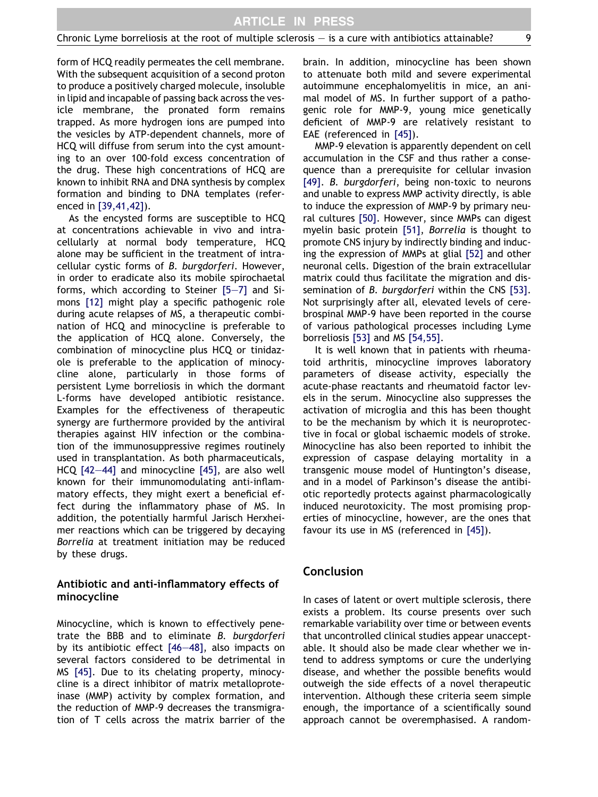form of HCQ readily permeates the cell membrane. With the subsequent acquisition of a second proton to produce a positively charged molecule, insoluble in lipid and incapable of passing back across the vesicle membrane, the pronated form remains trapped. As more hydrogen ions are pumped into the vesicles by ATP-dependent channels, more of HCQ will diffuse from serum into the cyst amounting to an over 100-fold excess concentration of the drug. These high concentrations of HCQ are known to inhibit RNA and DNA synthesis by complex formation and binding to DNA templates (referenced in [\[39,41,42\]](#page-10-0)).

As the encysted forms are susceptible to HCQ at concentrations achievable in vivo and intracellularly at normal body temperature, HCQ alone may be sufficient in the treatment of intracellular cystic forms of B. burgdorferi. However, in order to eradicate also its mobile spirochaetal forms, which according to Steiner [\[5–7\]](#page-9-0) and Simons [\[12\]](#page-9-0) might play a specific pathogenic role during acute relapses of MS, a therapeutic combination of HCQ and minocycline is preferable to the application of HCQ alone. Conversely, the combination of minocycline plus HCQ or tinidazole is preferable to the application of minocycline alone, particularly in those forms of persistent Lyme borreliosis in which the dormant L-forms have developed antibiotic resistance. Examples for the effectiveness of therapeutic synergy are furthermore provided by the antiviral therapies against HIV infection or the combination of the immunosuppressive regimes routinely used in transplantation. As both pharmaceuticals, HCQ [\[42–44\]](#page-10-0) and minocycline [\[45\]](#page-10-0), are also well known for their immunomodulating anti-inflammatory effects, they might exert a beneficial effect during the inflammatory phase of MS. In addition, the potentially harmful Jarisch Herxheimer reactions which can be triggered by decaying Borrelia at treatment initiation may be reduced by these drugs.

#### Antibiotic and anti-inflammatory effects of minocycline

Minocycline, which is known to effectively penetrate the BBB and to eliminate B. burgdorferi by its antibiotic effect [\[46–48\],](#page-10-0) also impacts on several factors considered to be detrimental in MS [\[45\].](#page-10-0) Due to its chelating property, minocycline is a direct inhibitor of matrix metalloproteinase (MMP) activity by complex formation, and the reduction of MMP-9 decreases the transmigration of T cells across the matrix barrier of the

brain. In addition, minocycline has been shown to attenuate both mild and severe experimental autoimmune encephalomyelitis in mice, an animal model of MS. In further support of a pathogenic role for MMP-9, young mice genetically deficient of MMP-9 are relatively resistant to EAE (referenced in [\[45\]](#page-10-0)).

MMP-9 elevation is apparently dependent on cell accumulation in the CSF and thus rather a consequence than a prerequisite for cellular invasion [\[49\]](#page-10-0). B. burgdorferi, being non-toxic to neurons and unable to express MMP activity directly, is able to induce the expression of MMP-9 by primary neural cultures [\[50\].](#page-10-0) However, since MMPs can digest myelin basic protein [\[51\],](#page-10-0) Borrelia is thought to promote CNS injury by indirectly binding and inducing the expression of MMPs at glial [\[52\]](#page-10-0) and other neuronal cells. Digestion of the brain extracellular matrix could thus facilitate the migration and dis-semination of B. burgdorferi within the CNS [\[53\]](#page-10-0). Not surprisingly after all, elevated levels of cerebrospinal MMP-9 have been reported in the course of various pathological processes including Lyme borreliosis [\[53\]](#page-10-0) and MS [\[54,55\]](#page-10-0).

It is well known that in patients with rheumatoid arthritis, minocycline improves laboratory parameters of disease activity, especially the acute-phase reactants and rheumatoid factor levels in the serum. Minocycline also suppresses the activation of microglia and this has been thought to be the mechanism by which it is neuroprotective in focal or global ischaemic models of stroke. Minocycline has also been reported to inhibit the expression of caspase delaying mortality in a transgenic mouse model of Huntington's disease, and in a model of Parkinson's disease the antibiotic reportedly protects against pharmacologically induced neurotoxicity. The most promising properties of minocycline, however, are the ones that favour its use in MS (referenced in [\[45\]](#page-10-0)).

# Conclusion

In cases of latent or overt multiple sclerosis, there exists a problem. Its course presents over such remarkable variability over time or between events that uncontrolled clinical studies appear unacceptable. It should also be made clear whether we intend to address symptoms or cure the underlying disease, and whether the possible benefits would outweigh the side effects of a novel therapeutic intervention. Although these criteria seem simple enough, the importance of a scientifically sound approach cannot be overemphasised. A random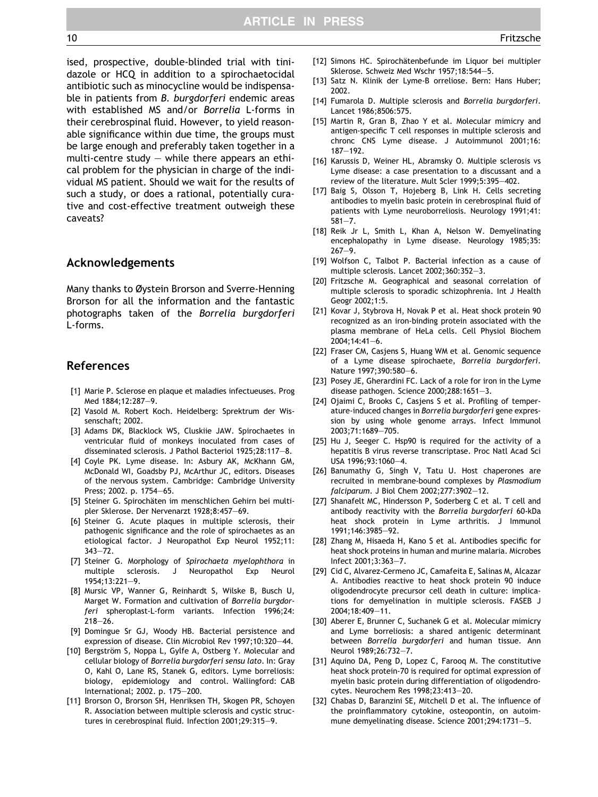<span id="page-9-0"></span>ised, prospective, double-blinded trial with tinidazole or HCQ in addition to a spirochaetocidal antibiotic such as minocycline would be indispensable in patients from B. burgdorferi endemic areas with established MS and/or Borrelia L-forms in their cerebrospinal fluid. However, to yield reasonable significance within due time, the groups must be large enough and preferably taken together in a multi-centre study – while there appears an ethical problem for the physician in charge of the individual MS patient. Should we wait for the results of such a study, or does a rational, potentially curative and cost-effective treatment outweigh these caveats?

# Acknowledgements

Many thanks to Øystein Brorson and Sverre-Henning Brorson for all the information and the fantastic photographs taken of the Borrelia burgdorferi L-forms.

#### References

- [1] Marie P. Sclerose en plaque et maladies infectueuses. Prog Med 1884;12:287–9.
- [2] Vasold M. Robert Koch. Heidelberg: Sprektrum der Wissenschaft; 2002.
- [3] Adams DK, Blacklock WS, Cluskiie JAW. Spirochaetes in ventricular fluid of monkeys inoculated from cases of disseminated sclerosis. J Pathol Bacteriol 1925;28:117–8.
- [4] Coyle PK. Lyme disease. In: Asbury AK, McKhann GM, McDonald WI, Goadsby PJ, McArthur JC, editors. Diseases of the nervous system. Cambridge: Cambridge University Press; 2002. p. 1754–65.
- [5] Steiner G. Spirochäten im menschlichen Gehirn bei multipler Sklerose. Der Nervenarzt 1928;8:457–69.
- [6] Steiner G. Acute plaques in multiple sclerosis, their pathogenic significance and the role of spirochaetes as an etiological factor. J Neuropathol Exp Neurol 1952;11: 343–72.
- [7] Steiner G. Morphology of Spirochaeta myelophthora in multiple sclerosis. J Neuropathol Exp Neurol 1954;13:221–9.
- [8] Mursic VP, Wanner G, Reinhardt S, Wilske B, Busch U, Marget W. Formation and cultivation of Borrelia burgdorferi spheroplast-L-form variants. Infection 1996;24: 218–26.
- [9] Domingue Sr GJ, Woody HB. Bacterial persistence and expression of disease. Clin Microbiol Rev 1997;10:320–44.
- [10] Bergström S, Noppa L, Gylfe A, Ostberg Y. Molecular and cellular biology of Borrelia burgdorferi sensu lato. In: Gray O, Kahl O, Lane RS, Stanek G, editors. Lyme borreliosis: biology, epidemiology and control. Wallingford: CAB International; 2002. p. 175–200.
- [11] Brorson O, Brorson SH, Henriksen TH, Skogen PR, Schoyen R. Association between multiple sclerosis and cystic structures in cerebrospinal fluid. Infection 2001;29:315–9.
- [12] Simons HC. Spirochätenbefunde im Liquor bei multipler Sklerose. Schweiz Med Wschr 1957;18:544–5.
- [13] Satz N. Klinik der Lyme-B orreliose. Bern: Hans Huber; 2002.
- [14] Fumarola D. Multiple sclerosis and Borrelia burgdorferi. Lancet 1986;8506:575.
- [15] Martin R, Gran B, Zhao Y et al. Molecular mimicry and antigen-specific T cell responses in multiple sclerosis and chronc CNS Lyme disease. J Autoimmunol 2001;16: 187–192.
- [16] Karussis D, Weiner HL, Abramsky O. Multiple sclerosis vs Lyme disease: a case presentation to a discussant and a review of the literature. Mult Scler 1999;5:395–402.
- [17] Baig S, Olsson T, Hojeberg B, Link H. Cells secreting antibodies to myelin basic protein in cerebrospinal fluid of patients with Lyme neuroborreliosis. Neurology 1991;41: 581–7.
- [18] Reik Jr L, Smith L, Khan A, Nelson W. Demyelinating encephalopathy in Lyme disease. Neurology 1985;35:  $767-9.$
- [19] Wolfson C, Talbot P. Bacterial infection as a cause of multiple sclerosis. Lancet 2002;360:352–3.
- [20] Fritzsche M. Geographical and seasonal correlation of multiple sclerosis to sporadic schizophrenia. Int J Health Geogr 2002;1:5.
- [21] Kovar J, Stybrova H, Novak P et al. Heat shock protein 90 recognized as an iron-binding protein associated with the plasma membrane of HeLa cells. Cell Physiol Biochem 2004;14:41–6.
- [22] Fraser CM, Casjens S, Huang WM et al. Genomic sequence of a Lyme disease spirochaete, Borrelia burgdorferi. Nature 1997;390:580–6.
- [23] Posey JE, Gherardini FC. Lack of a role for iron in the Lyme disease pathogen. Science 2000;288:1651–3.
- [24] Ojaimi C, Brooks C, Casjens S et al. Profiling of temperature-induced changes in Borrelia burgdorferi gene expression by using whole genome arrays. Infect Immunol 2003;71:1689–705.
- [25] Hu J, Seeger C. Hsp90 is required for the activity of a hepatitis B virus reverse transcriptase. Proc Natl Acad Sci USA 1996;93:1060–4.
- [26] Banumathy G, Singh V, Tatu U. Host chaperones are recruited in membrane-bound complexes by Plasmodium falciparum. J Biol Chem 2002;277:3902–12.
- [27] Shanafelt MC, Hindersson P, Soderberg C et al. T cell and antibody reactivity with the Borrelia burgdorferi 60-kDa heat shock protein in Lyme arthritis. J Immunol 1991;146:3985–92.
- [28] Zhang M, Hisaeda H, Kano S et al. Antibodies specific for heat shock proteins in human and murine malaria. Microbes Infect 2001;3:363–7.
- [29] Cid C, Alvarez-Cermeno JC, Camafeita E, Salinas M, Alcazar A. Antibodies reactive to heat shock protein 90 induce oligodendrocyte precursor cell death in culture: implications for demyelination in multiple sclerosis. FASEB J 2004;18:409–11.
- [30] Aberer E, Brunner C, Suchanek G et al. Molecular mimicry and Lyme borreliosis: a shared antigenic determinant between Borrelia burgdorferi and human tissue. Ann Neurol 1989;26:732–7.
- [31] Aquino DA, Peng D, Lopez C, Farooq M. The constitutive heat shock protein-70 is required for optimal expression of myelin basic protein during differentiation of oligodendrocytes. Neurochem Res 1998;23:413–20.
- [32] Chabas D, Baranzini SE, Mitchell D et al. The influence of the proinflammatory cytokine, osteopontin, on autoimmune demyelinating disease. Science 2001;294:1731–5.